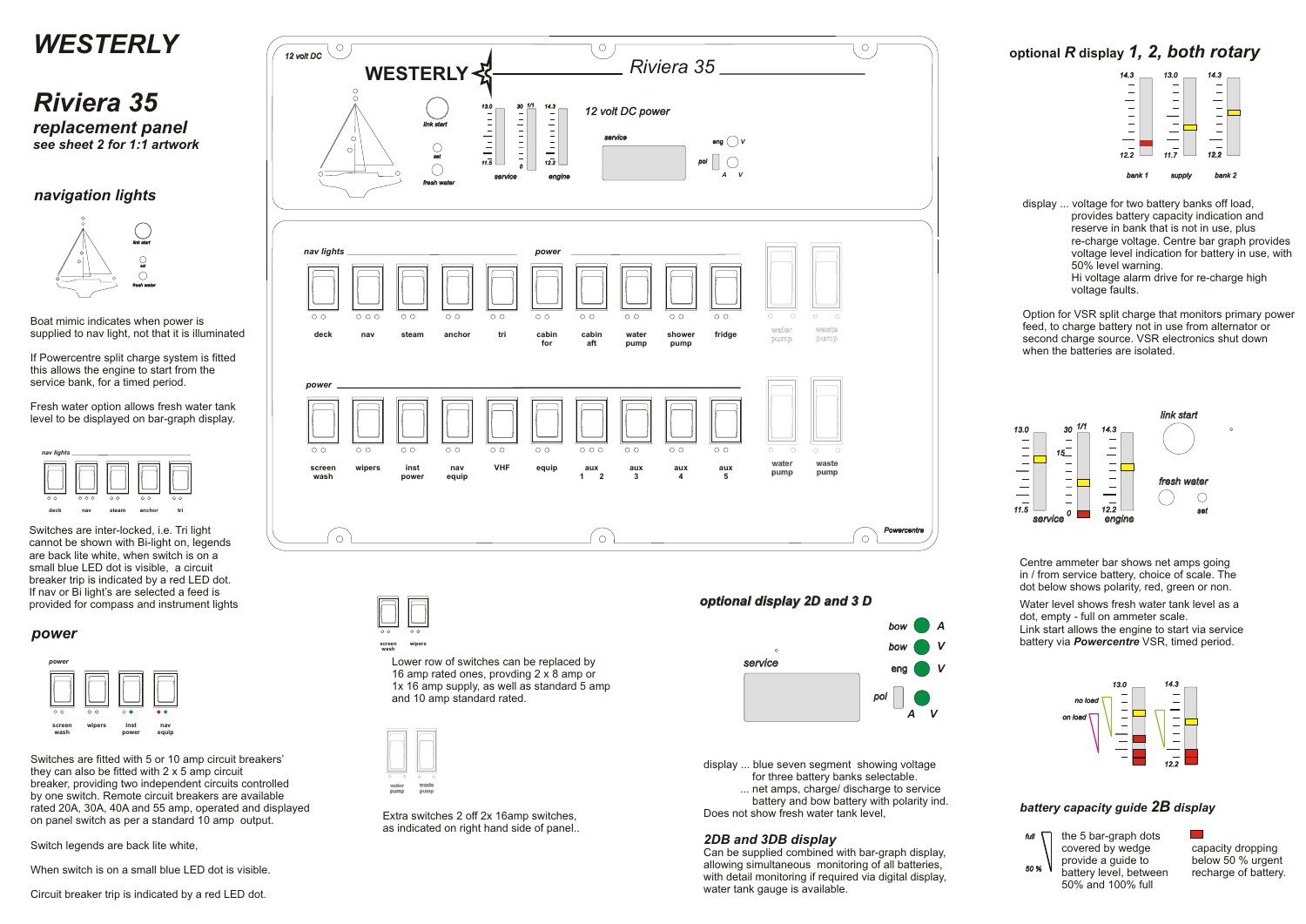



display ... voltage for two battery banks off load, provides battery capacity indication and reserve in bank that is not in use, plus re-charge voltage. Centre bar graph provides voltage level indication for battery in use, with 50% level warning. Hi voltage alarm drive for re-charge high voltage faults.

**optional** *R* **display** *1, 2, both rotary* 



Option for VSR split charge that monitors primary power feed, to charge battery not in use from alternator or second charge source. VSR electronics shut down when the batteries are isolated.





 *50 % full*

#### *battery capacity guide 2B display*

If Powercentre split charge system is fitted this allows the engine to start from the service bank, for a timed period.

> the 5 bar-graph dots covered by wedge provide a guide to battery level, between 50% and 100% full

 $\mathcal{O}(\mathbb{R}^d)$ 

capacity dropping below 50 % urgent recharge of battery.

Water level shows fresh water tank level as a dot, empty - full on ammeter scale.

Link start allows the engine to start via service battery via *Powercentre* VSR, timed period.

Centre ammeter bar shows net amps going in / from service battery, choice of scale. The dot below shows polarity, red, green or non.



display ... blue seven segment showing voltage for three battery banks selectable. ... net amps, charge/ discharge to service

battery and bow battery with polarity ind.

Does not show fresh water tank level,

#### *2DB and 3DB display*

Can be supplied combined with bar-graph display, allowing simultaneous monitoring of all batteries, with detail monitoring if required via digital display, water tank gauge is available.

#### *optional display 2D and 3 D*









### *navigation lights*

#### *power*

Boat mimic indicates when power is supplied to nav light, not that it is illuminated

Fresh water option allows fresh water tank level to be displayed on bar-graph display.

Switches are inter-locked, i.e. Tri light cannot be shown with Bi-light on, legends are back lite white, when switch is on a small blue LED dot is visible, a circuit breaker trip is indicated by a red LED dot. If nav or Bi light's are selected a feed is provided for compass and instrument lights

> **screen wipers wash** Lower row of switches can be replaced by 16 amp rated ones, provding 2 x 8 amp or 1x 16 amp supply, as well as standard 5 amp and 10 amp standard rated.

Switches are fitted with 5 or 10 amp circuit breakers' they can also be fitted with 2 x 5 amp circuit breaker, providing two independent circuits controlled by one switch. Remote circuit breakers are available rated 20A, 30A, 40A and 55 amp, operated and displayed on panel switch as per a standard 10 amp output.

Switch legends are back lite white,

When switch is on a small blue LED dot is visible.

Circuit breaker trip is indicated by a red LED dot.

Extra switches 2 off 2x 16amp switches, as indicated on right hand side of panel..

# *WESTERLY*

## *Riviera 35 replacement panel see sheet 2 for 1:1 artwork*